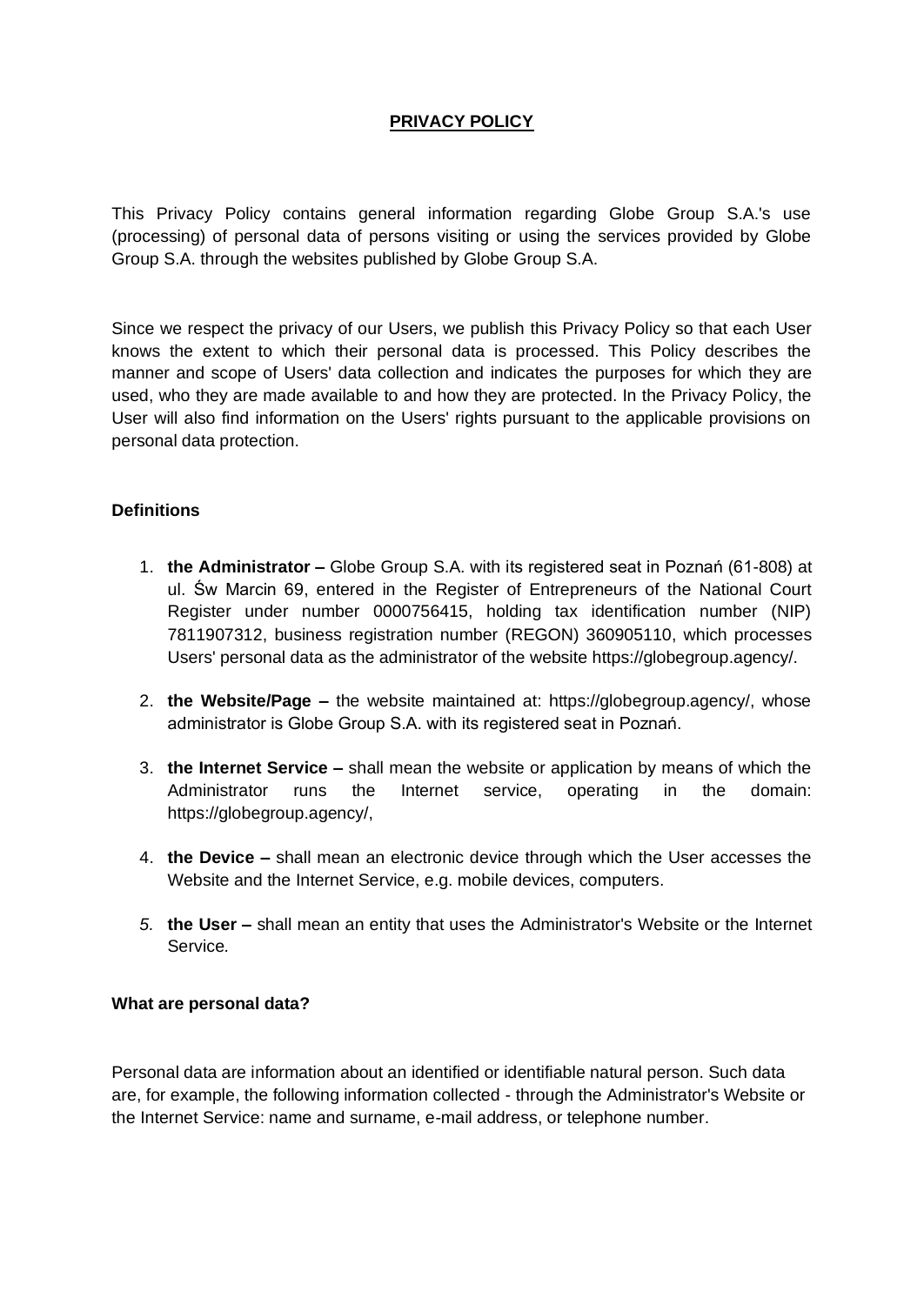# **PRIVACY POLICY**

This Privacy Policy contains general information regarding Globe Group S.A.'s use (processing) of personal data of persons visiting or using the services provided by Globe Group S.A. through the websites published by Globe Group S.A.

Since we respect the privacy of our Users, we publish this Privacy Policy so that each User knows the extent to which their personal data is processed. This Policy describes the manner and scope of Users' data collection and indicates the purposes for which they are used, who they are made available to and how they are protected. In the Privacy Policy, the User will also find information on the Users' rights pursuant to the applicable provisions on personal data protection.

#### **Definitions**

- 1. **the Administrator –** Globe Group S.A. with its registered seat in Poznań (61-808) at ul. Św Marcin 69, entered in the Register of Entrepreneurs of the National Court Register under number 0000756415, holding tax identification number (NIP) 7811907312, business registration number (REGON) 360905110, which processes Users' personal data as the administrator of the website https://globegroup.agency/.
- 2. **the Website/Page –** the website maintained at: https://globegroup.agency/, whose administrator is Globe Group S.A. with its registered seat in Poznań.
- 3. **the Internet Service –** shall mean the website or application by means of which the Administrator runs the Internet service, operating in the domain: https://globegroup.agency/,
- 4. **the Device –** shall mean an electronic device through which the User accesses the Website and the Internet Service, e.g. mobile devices, computers.
- *5.* **the User –** shall mean an entity that uses the Administrator's Website or the Internet Service*.*

#### **What are personal data?**

Personal data are information about an identified or identifiable natural person. Such data are, for example, the following information collected - through the Administrator's Website or the Internet Service: name and surname, e-mail address, or telephone number.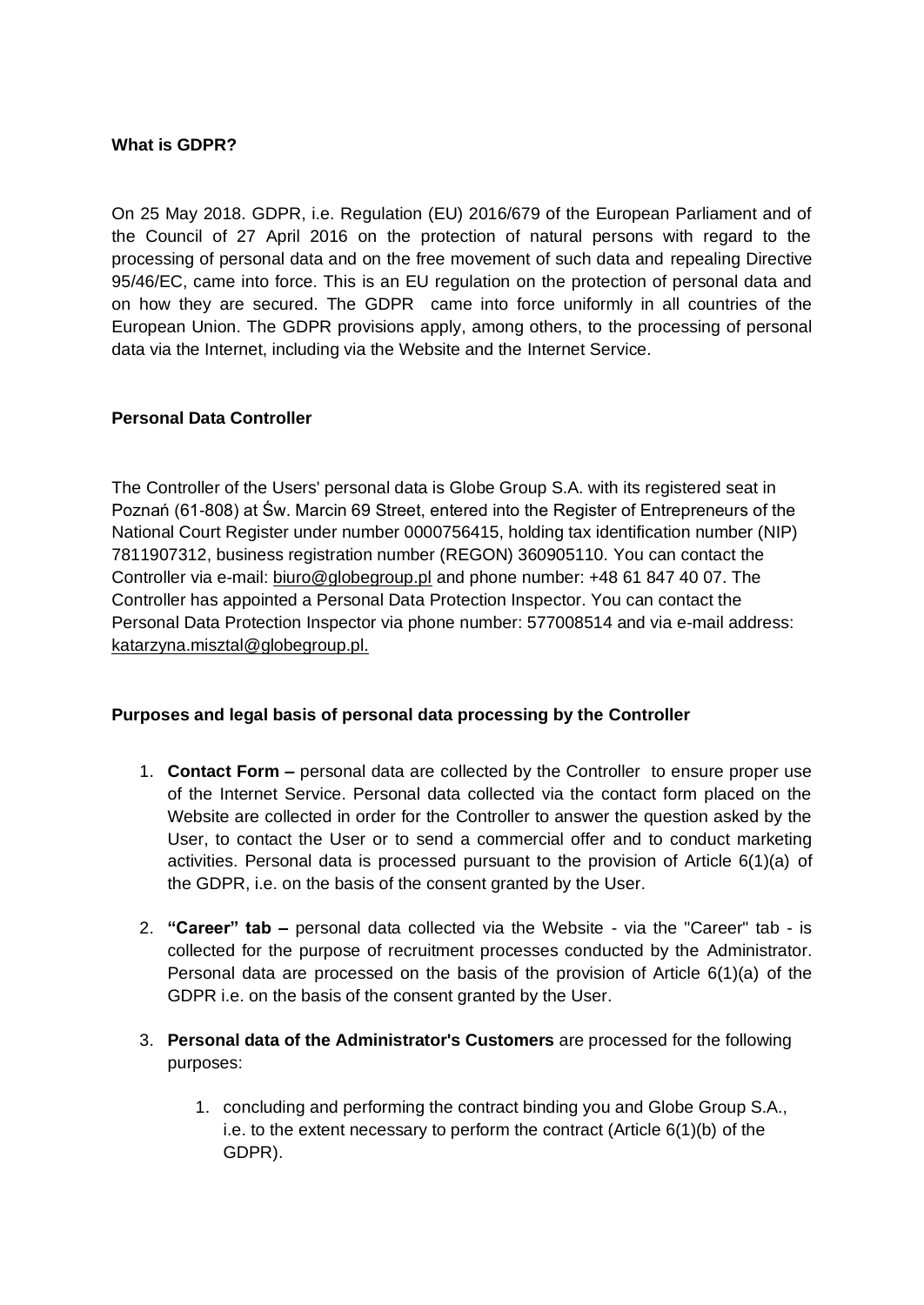### **What is GDPR?**

On 25 May 2018. GDPR, i.e. Regulation (EU) 2016/679 of the European Parliament and of the Council of 27 April 2016 on the protection of natural persons with regard to the processing of personal data and on the free movement of such data and repealing Directive 95/46/EC, came into force. This is an EU regulation on the protection of personal data and on how they are secured. The GDPR came into force uniformly in all countries of the European Union. The GDPR provisions apply, among others, to the processing of personal data via the Internet, including via the Website and the Internet Service.

## **Personal Data Controller**

The Controller of the Users' personal data is Globe Group S.A. with its registered seat in Poznań (61-808) at Św. Marcin 69 Street, entered into the Register of Entrepreneurs of the National Court Register under number 0000756415, holding tax identification number (NIP) 7811907312, business registration number (REGON) 360905110. You can contact the Controller via e-mail: biuro@globegroup.pl and phone number: +48 61 847 40 07. The Controller has appointed a Personal Data Protection Inspector. You can contact the Personal Data Protection Inspector via phone number: 577008514 and via e-mail address: katarzyna.misztal@globegroup.pl.

#### **Purposes and legal basis of personal data processing by the Controller**

- 1. **Contact Form –** personal data are collected by the Controller to ensure proper use of the Internet Service. Personal data collected via the contact form placed on the Website are collected in order for the Controller to answer the question asked by the User, to contact the User or to send a commercial offer and to conduct marketing activities. Personal data is processed pursuant to the provision of Article 6(1)(a) of the GDPR, i.e. on the basis of the consent granted by the User.
- 2. **"Career" tab –** personal data collected via the Website via the "Career" tab is collected for the purpose of recruitment processes conducted by the Administrator. Personal data are processed on the basis of the provision of Article 6(1)(a) of the GDPR i.e. on the basis of the consent granted by the User.
- 3. **Personal data of the Administrator's Customers** are processed for the following purposes:
	- 1. concluding and performing the contract binding you and Globe Group S.A., i.e. to the extent necessary to perform the contract (Article 6(1)(b) of the GDPR).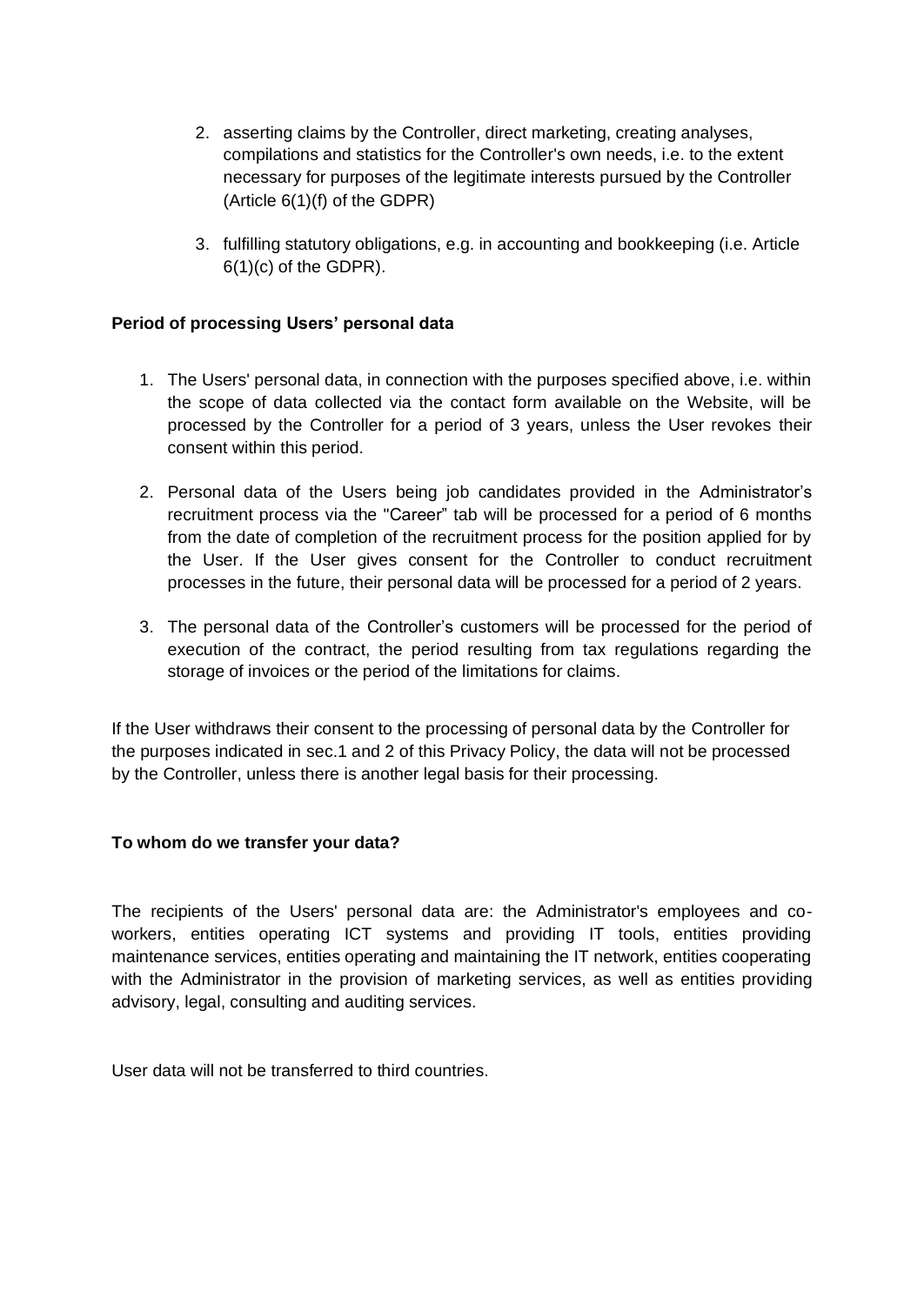- 2. asserting claims by the Controller, direct marketing, creating analyses, compilations and statistics for the Controller's own needs, i.e. to the extent necessary for purposes of the legitimate interests pursued by the Controller (Article 6(1)(f) of the GDPR)
- 3. fulfilling statutory obligations, e.g. in accounting and bookkeeping (i.e. Article 6(1)(c) of the GDPR).

### **Period of processing Users' personal data**

- 1. The Users' personal data, in connection with the purposes specified above, i.e. within the scope of data collected via the contact form available on the Website, will be processed by the Controller for a period of 3 years, unless the User revokes their consent within this period.
- 2. Personal data of the Users being job candidates provided in the Administrator's recruitment process via the "Career" tab will be processed for a period of 6 months from the date of completion of the recruitment process for the position applied for by the User. If the User gives consent for the Controller to conduct recruitment processes in the future, their personal data will be processed for a period of 2 years.
- 3. The personal data of the Controller's customers will be processed for the period of execution of the contract, the period resulting from tax regulations regarding the storage of invoices or the period of the limitations for claims.

If the User withdraws their consent to the processing of personal data by the Controller for the purposes indicated in sec.1 and 2 of this Privacy Policy, the data will not be processed by the Controller, unless there is another legal basis for their processing.

#### **To whom do we transfer your data?**

The recipients of the Users' personal data are: the Administrator's employees and coworkers, entities operating ICT systems and providing IT tools, entities providing maintenance services, entities operating and maintaining the IT network, entities cooperating with the Administrator in the provision of marketing services, as well as entities providing advisory, legal, consulting and auditing services.

User data will not be transferred to third countries.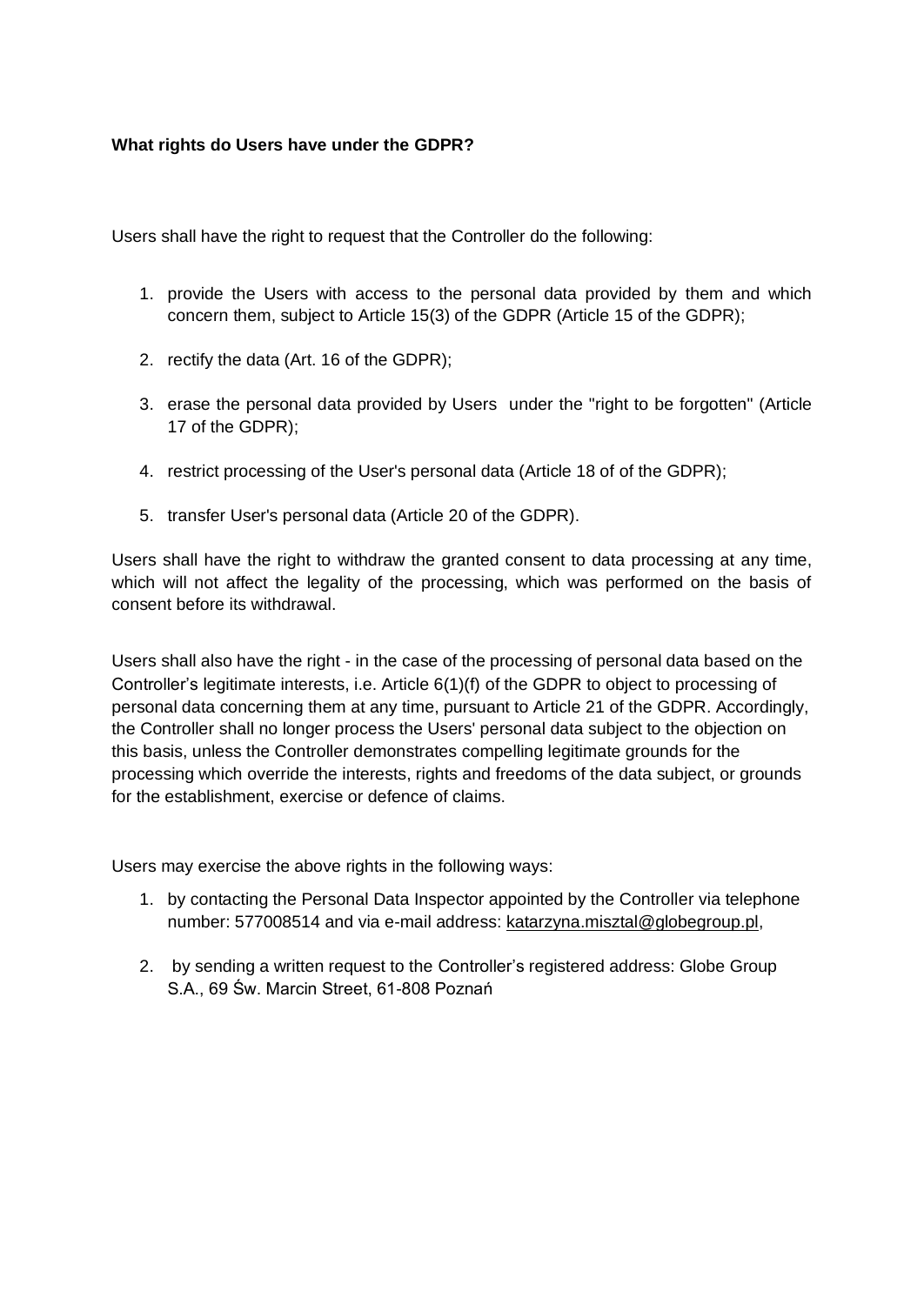#### **What rights do Users have under the GDPR?**

Users shall have the right to request that the Controller do the following:

- 1. provide the Users with access to the personal data provided by them and which concern them, subject to Article 15(3) of the GDPR (Article 15 of the GDPR);
- 2. rectify the data (Art. 16 of the GDPR);
- 3. erase the personal data provided by Users under the "right to be forgotten" (Article 17 of the GDPR);
- 4. restrict processing of the User's personal data (Article 18 of of the GDPR);
- 5. transfer User's personal data (Article 20 of the GDPR).

Users shall have the right to withdraw the granted consent to data processing at any time, which will not affect the legality of the processing, which was performed on the basis of consent before its withdrawal.

Users shall also have the right - in the case of the processing of personal data based on the Controller's legitimate interests, i.e. Article 6(1)(f) of the GDPR to object to processing of personal data concerning them at any time, pursuant to Article 21 of the GDPR. Accordingly, the Controller shall no longer process the Users' personal data subject to the objection on this basis, unless the Controller demonstrates compelling legitimate grounds for the processing which override the interests, rights and freedoms of the data subject, or grounds for the establishment, exercise or defence of claims.

Users may exercise the above rights in the following ways:

- 1. by contacting the Personal Data Inspector appointed by the Controller via telephone number: 577008514 and via e-mail address: katarzyna.misztal@globegroup.pl,
- 2. by sending a written request to the Controller's registered address: Globe Group S.A., 69 Św. Marcin Street, 61-808 Poznań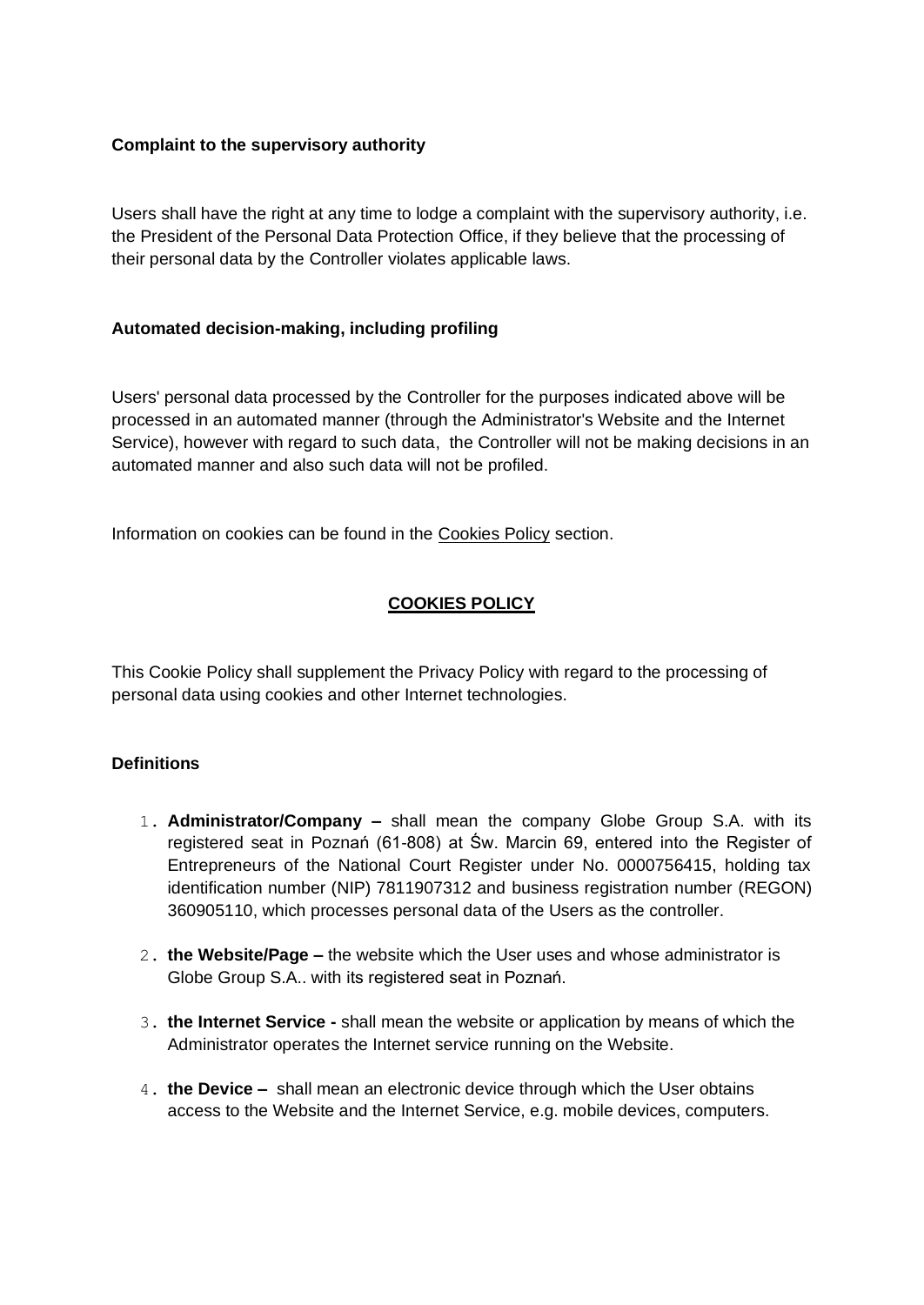### **Complaint to the supervisory authority**

Users shall have the right at any time to lodge a complaint with the supervisory authority, i.e. the President of the Personal Data Protection Office, if they believe that the processing of their personal data by the Controller violates applicable laws.

### **Automated decision-making, including profiling**

Users' personal data processed by the Controller for the purposes indicated above will be processed in an automated manner (through the Administrator's Website and the Internet Service), however with regard to such data, the Controller will not be making decisions in an automated manner and also such data will not be profiled.

Information on cookies can be found in the Cookies Policy section.

# **COOKIES POLICY**

This Cookie Policy shall supplement the Privacy Policy with regard to the processing of personal data using cookies and other Internet technologies.

# **Definitions**

- 1. **Administrator/Company –** shall mean the company Globe Group S.A. with its registered seat in Poznań (61-808) at Św. Marcin 69, entered into the Register of Entrepreneurs of the National Court Register under No. 0000756415, holding tax identification number (NIP) 7811907312 and business registration number (REGON) 360905110, which processes personal data of the Users as the controller.
- 2. **the Website/Page –** the website which the User uses and whose administrator is Globe Group S.A.. with its registered seat in Poznań.
- 3. **the Internet Service -** shall mean the website or application by means of which the Administrator operates the Internet service running on the Website.
- 4. **the Device** shall mean an electronic device through which the User obtains access to the Website and the Internet Service, e.g. mobile devices, computers.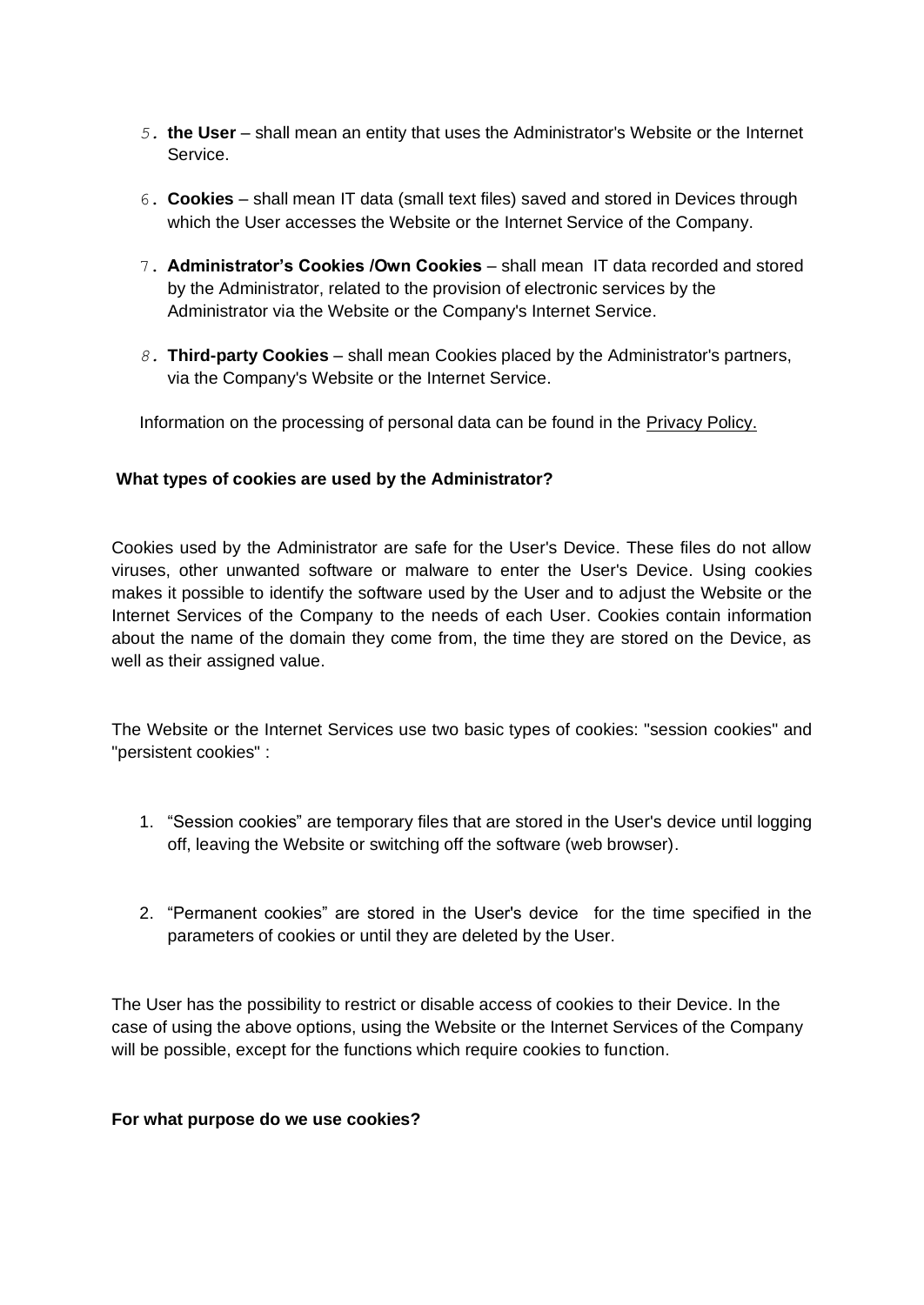- *5.* **the User** *–* shall mean an entity that uses the Administrator's Website or the Internet Service.
- 6. **Cookies** *–* shall mean IT data (small text files) saved and stored in Devices through which the User accesses the Website or the Internet Service of the Company.
- 7. **Administrator's Cookies /Own Cookies** *–* shall mean IT data recorded and stored by the Administrator, related to the provision of electronic services by the Administrator via the Website or the Company's Internet Service.
- *8.* **Third-party Cookies** *–* shall mean Cookies placed by the Administrator's partners, via the Company's Website or the Internet Service.

Information on the processing of personal data can be found in the Privacy Policy.

#### **What types of cookies are used by the Administrator?**

Cookies used by the Administrator are safe for the User's Device. These files do not allow viruses, other unwanted software or malware to enter the User's Device. Using cookies makes it possible to identify the software used by the User and to adjust the Website or the Internet Services of the Company to the needs of each User. Cookies contain information about the name of the domain they come from, the time they are stored on the Device, as well as their assigned value.

The Website or the Internet Services use two basic types of cookies: "session cookies" and "persistent cookies" :

- 1. "Session cookies" are temporary files that are stored in the User's device until logging off, leaving the Website or switching off the software (web browser).
- 2. "Permanent cookies" are stored in the User's device for the time specified in the parameters of cookies or until they are deleted by the User.

The User has the possibility to restrict or disable access of cookies to their Device. In the case of using the above options, using the Website or the Internet Services of the Company will be possible, except for the functions which require cookies to function.

#### **For what purpose do we use cookies?**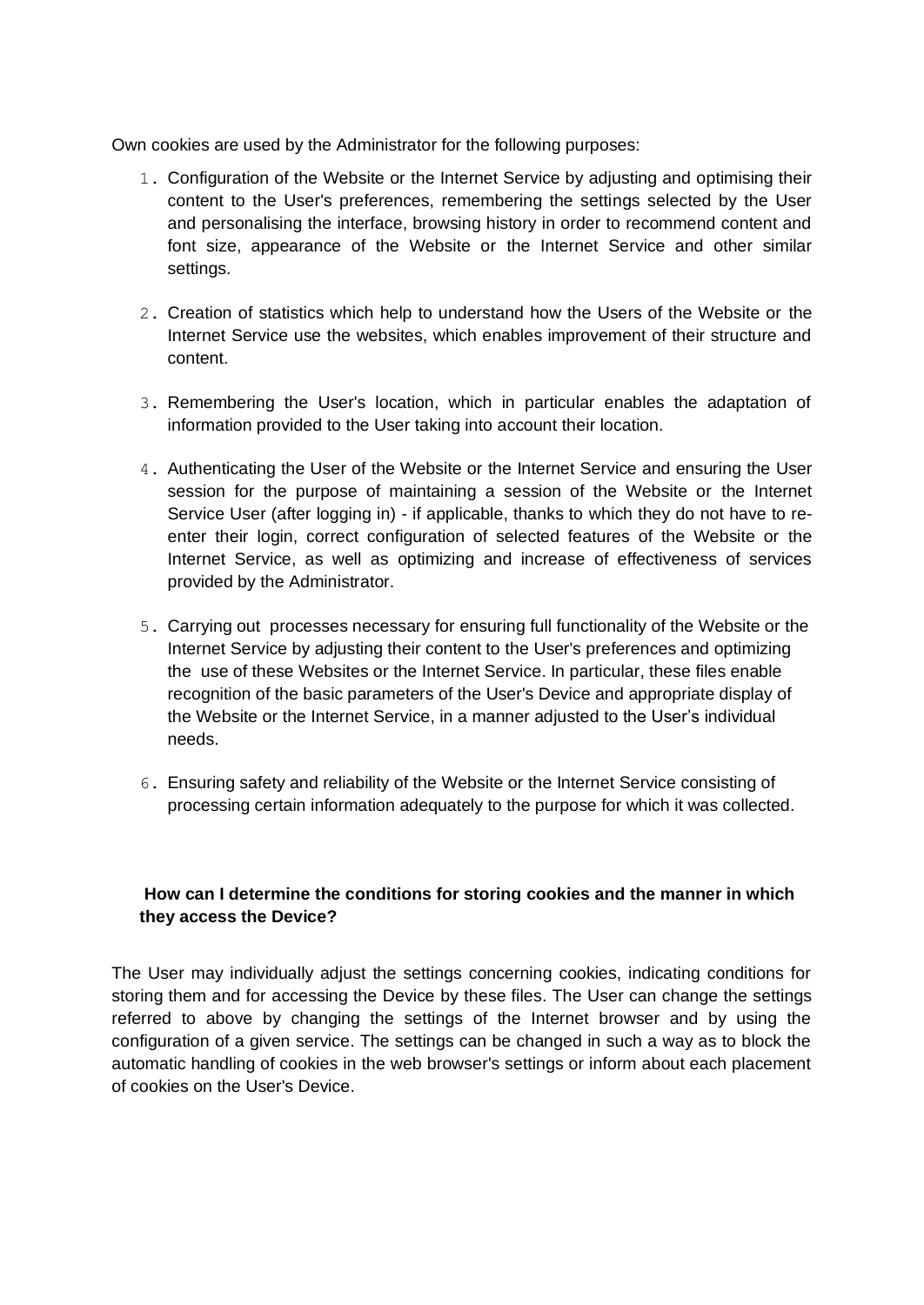Own cookies are used by the Administrator for the following purposes:

- 1. Configuration of the Website or the Internet Service by adjusting and optimising their content to the User's preferences, remembering the settings selected by the User and personalising the interface, browsing history in order to recommend content and font size, appearance of the Website or the Internet Service and other similar settings.
- 2. Creation of statistics which help to understand how the Users of the Website or the Internet Service use the websites, which enables improvement of their structure and content.
- 3. Remembering the User's location, which in particular enables the adaptation of information provided to the User taking into account their location.
- 4. Authenticating the User of the Website or the Internet Service and ensuring the User session for the purpose of maintaining a session of the Website or the Internet Service User (after logging in) - if applicable, thanks to which they do not have to reenter their login, correct configuration of selected features of the Website or the Internet Service, as well as optimizing and increase of effectiveness of services provided by the Administrator.
- 5. Carrying out processes necessary for ensuring full functionality of the Website or the Internet Service by adjusting their content to the User's preferences and optimizing the use of these Websites or the Internet Service. In particular, these files enable recognition of the basic parameters of the User's Device and appropriate display of the Website or the Internet Service, in a manner adjusted to the User's individual needs.
- 6. Ensuring safety and reliability of the Website or the Internet Service consisting of processing certain information adequately to the purpose for which it was collected.

# **How can I determine the conditions for storing cookies and the manner in which they access the Device?**

The User may individually adjust the settings concerning cookies, indicating conditions for storing them and for accessing the Device by these files. The User can change the settings referred to above by changing the settings of the Internet browser and by using the configuration of a given service. The settings can be changed in such a way as to block the automatic handling of cookies in the web browser's settings or inform about each placement of cookies on the User's Device.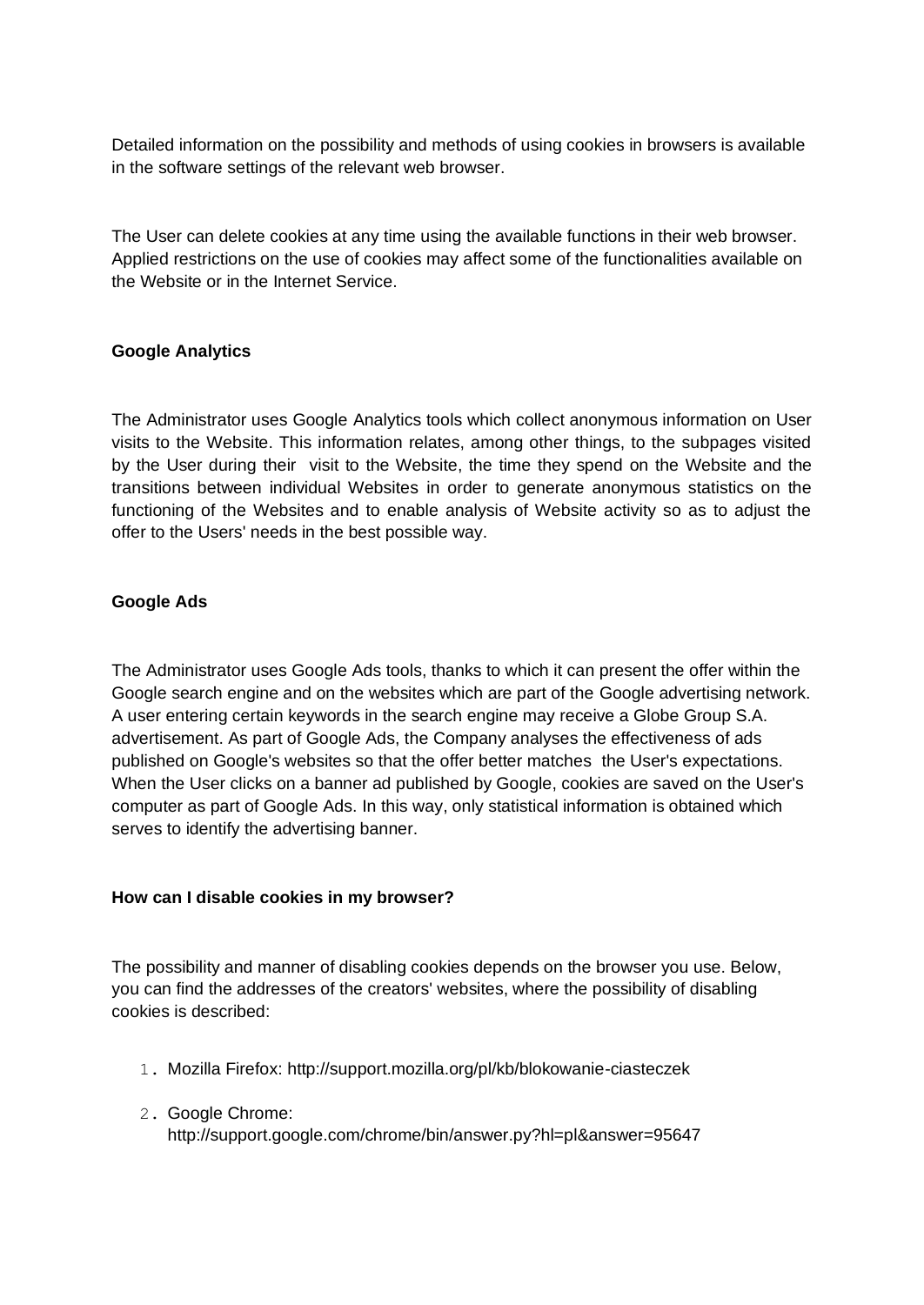Detailed information on the possibility and methods of using cookies in browsers is available in the software settings of the relevant web browser.

The User can delete cookies at any time using the available functions in their web browser. Applied restrictions on the use of cookies may affect some of the functionalities available on the Website or in the Internet Service.

## **Google Analytics**

The Administrator uses Google Analytics tools which collect anonymous information on User visits to the Website. This information relates, among other things, to the subpages visited by the User during their visit to the Website, the time they spend on the Website and the transitions between individual Websites in order to generate anonymous statistics on the functioning of the Websites and to enable analysis of Website activity so as to adjust the offer to the Users' needs in the best possible way.

## **Google Ads**

The Administrator uses Google Ads tools, thanks to which it can present the offer within the Google search engine and on the websites which are part of the Google advertising network. A user entering certain keywords in the search engine may receive a Globe Group S.A. advertisement. As part of Google Ads, the Company analyses the effectiveness of ads published on Google's websites so that the offer better matches the User's expectations. When the User clicks on a banner ad published by Google, cookies are saved on the User's computer as part of Google Ads. In this way, only statistical information is obtained which serves to identify the advertising banner.

#### **How can I disable cookies in my browser?**

The possibility and manner of disabling cookies depends on the browser you use. Below, you can find the addresses of the creators' websites, where the possibility of disabling cookies is described:

- 1. Mozilla Firefox: http://support.mozilla.org/pl/kb/blokowanie-ciasteczek
- 2. Google Chrome: http://support.google.com/chrome/bin/answer.py?hl=pl&answer=95647